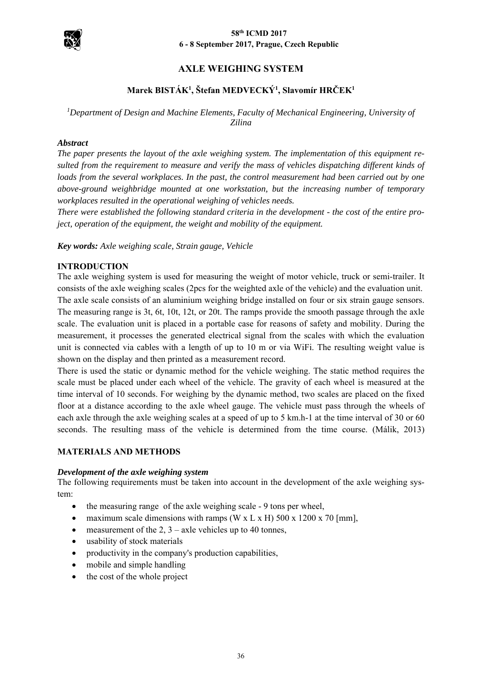

### **58th ICMD 2017 6 - 8 September 2017, Prague, Czech Republic**

# **AXLE WEIGHING SYSTEM**

# **Marek BISTÁK1 , Štefan MEDVECKÝ1 , Slavomír HRČEK1**

# <sup>1</sup>Department of Design and Machine Elements, Faculty of Mechanical Engineering, University of *Zilina*

### *Abstract*

*The paper presents the layout of the axle weighing system. The implementation of this equipment resulted from the requirement to measure and verify the mass of vehicles dispatching different kinds of loads from the several workplaces. In the past, the control measurement had been carried out by one above-ground weighbridge mounted at one workstation, but the increasing number of temporary workplaces resulted in the operational weighing of vehicles needs.* 

*There were established the following standard criteria in the development - the cost of the entire project, operation of the equipment, the weight and mobility of the equipment.* 

*Key words: Axle weighing scale, Strain gauge, Vehicle* 

### **INTRODUCTION**

The axle weighing system is used for measuring the weight of motor vehicle, truck or semi-trailer. It consists of the axle weighing scales (2pcs for the weighted axle of the vehicle) and the evaluation unit. The axle scale consists of an aluminium weighing bridge installed on four or six strain gauge sensors. The measuring range is 3t, 6t, 10t, 12t, or 20t. The ramps provide the smooth passage through the axle scale. The evaluation unit is placed in a portable case for reasons of safety and mobility. During the measurement, it processes the generated electrical signal from the scales with which the evaluation unit is connected via cables with a length of up to 10 m or via WiFi. The resulting weight value is shown on the display and then printed as a measurement record.

There is used the static or dynamic method for the vehicle weighing. The static method requires the scale must be placed under each wheel of the vehicle. The gravity of each wheel is measured at the time interval of 10 seconds. For weighing by the dynamic method, two scales are placed on the fixed floor at a distance according to the axle wheel gauge. The vehicle must pass through the wheels of each axle through the axle weighing scales at a speed of up to 5 km.h-1 at the time interval of 30 or 60 seconds. The resulting mass of the vehicle is determined from the time course. (Málik, 2013)

#### **MATERIALS AND METHODS**

#### *Development of the axle weighing system*

The following requirements must be taken into account in the development of the axle weighing system:

- the measuring range of the axle weighing scale 9 tons per wheel,
- maximum scale dimensions with ramps (W x L x H) 500 x 1200 x 70 [mm],
- measurement of the 2,  $3 -$ axle vehicles up to 40 tonnes,
- usability of stock materials
- productivity in the company's production capabilities,
- mobile and simple handling
- the cost of the whole project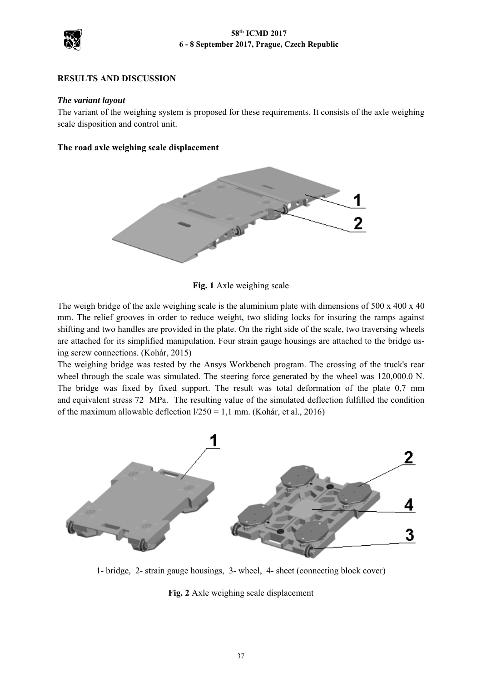

## **RESULTS AND DISCUSSION**

### *The variant layout*

The variant of the weighing system is proposed for these requirements. It consists of the axle weighing scale disposition and control unit.

### **The road axle weighing scale displacement**



**Fig. 1** Axle weighing scale

The weigh bridge of the axle weighing scale is the aluminium plate with dimensions of 500 x 400 x 40 mm. The relief grooves in order to reduce weight, two sliding locks for insuring the ramps against shifting and two handles are provided in the plate. On the right side of the scale, two traversing wheels are attached for its simplified manipulation. Four strain gauge housings are attached to the bridge using screw connections. (Kohár, 2015)

The weighing bridge was tested by the Ansys Workbench program. The crossing of the truck's rear wheel through the scale was simulated. The steering force generated by the wheel was 120,000.0 N. The bridge was fixed by fixed support. The result was total deformation of the plate 0,7 mm and equivalent stress 72 MPa. The resulting value of the simulated deflection fulfilled the condition of the maximum allowable deflection  $1/250 = 1.1$  mm. (Kohár, et al., 2016)



1- bridge, 2- strain gauge housings, 3- wheel, 4- sheet (connecting block cover)

**Fig. 2** Axle weighing scale displacement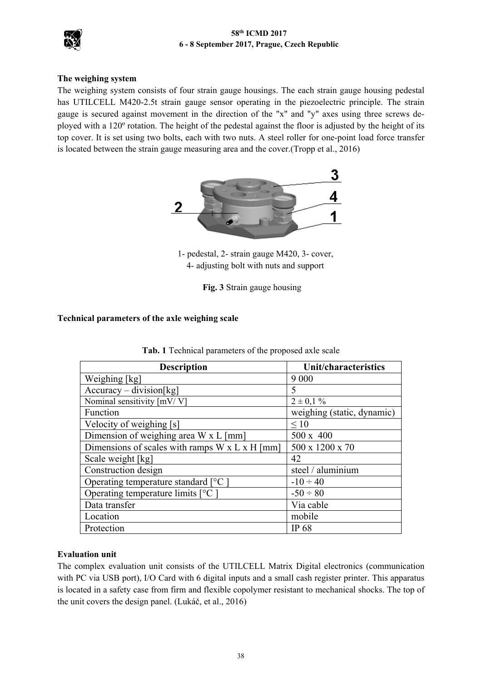## **58th ICMD 2017 6 - 8 September 2017, Prague, Czech Republic**



## **The weighing system**

The weighing system consists of four strain gauge housings. The each strain gauge housing pedestal has UTILCELL M420-2.5t strain gauge sensor operating in the piezoelectric principle. The strain gauge is secured against movement in the direction of the "x" and "y" axes using three screws deployed with a 120º rotation. The height of the pedestal against the floor is adjusted by the height of its top cover. It is set using two bolts, each with two nuts. A steel roller for one-point load force transfer is located between the strain gauge measuring area and the cover.(Tropp et al., 2016)



 1- pedestal, 2- strain gauge M420, 3- cover, 4- adjusting bolt with nuts and support

 **Fig. 3** Strain gauge housing

# **Technical parameters of the axle weighing scale**

| <b>Description</b>                                         | <b>Unit/characteristics</b> |  |
|------------------------------------------------------------|-----------------------------|--|
| Weighing [kg]                                              | 9 0 0 0                     |  |
| $Accuracy - division[kg]$                                  | 5                           |  |
| Nominal sensitivity [mV/V]                                 | $2 \pm 0.1 \%$              |  |
| Function                                                   | weighing (static, dynamic)  |  |
| Velocity of weighing [s]                                   | $\leq 10$                   |  |
| Dimension of weighing area W x L [mm]                      | 500 x 400                   |  |
| Dimensions of scales with ramps $W \times L \times H$ [mm] | 500 x 1200 x 70             |  |
| Scale weight [kg]                                          | 42                          |  |
| Construction design                                        | steel / aluminium           |  |
| Operating temperature standard $[°C]$                      | $-10 \div 40$               |  |
| Operating temperature limits [°C ]                         | $-50 \div 80$               |  |
| Data transfer                                              | Via cable                   |  |
| Location                                                   | mobile                      |  |
| Protection                                                 | <b>IP 68</b>                |  |

|  |  | Tab. 1 Technical parameters of the proposed axle scale |  |  |  |
|--|--|--------------------------------------------------------|--|--|--|
|--|--|--------------------------------------------------------|--|--|--|

## **Evaluation unit**

The complex evaluation unit consists of the UTILCELL Matrix Digital electronics (communication with PC via USB port), I/O Card with 6 digital inputs and a small cash register printer. This apparatus is located in a safety case from firm and flexible copolymer resistant to mechanical shocks. The top of the unit covers the design panel. (Lukáč, et al., 2016)